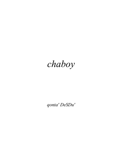## chaboy

qonta' DeSDu'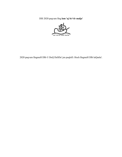DIS 2020 paqvam lIng lam 'aj Se'vIr malja'



2020 paqvam lIngmeH DIb © DoQ DeSDu' jen puqloD. Hoch lIngmeH DIb luQanlu'.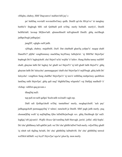«HIqIm, chaboy, SIbI' Daqvamvo' maHaw'nIS jay'.»

pa' bebDaq wovtaH wovmoHwI'mey qutlh. DenIS qa'vIn HIvje'vo' 'et tamghay butHa''e' lIngbogh bIH. raS QoHtaH poS ro'Daj. merIy buStaH. merIy'e', DenIS buSHa'taH. luvnup SIQlaw'taH. qImmoHmeH tuS'eghmoH DenIS. ghIq mu'tlhegh jatlhpu'bogh jatlhqa'pu'.

jangDI', «ghgh» neH jatlh.

«jISagh, chaboy. majaHnIS. *DaH*. Dat chaHtaH ghan'Iq yaSpu''e'. nuqop chaH DaneH'a'? pIjHa' vengHommey machDaq beylI'mey luHejlu'ta'. 'ej SIbI'Ha' HejwI'pu' bopbogh De''e' lughojchoH. cha' HejwI' tu'lu' wejHa' 'e' luSov. Hung HaSta tamey nuDDI' chaH, ghaytan latlh De' lughoj: be' ghaH wa' HejwI''e' 'ej loD ghaH latlh HejwI''e'. ghIq ghaytan latlh De' luloychu': parmaqqaypu' chaH cha' HejwI'pu''e' nejlI'bogh. ghIq latlh De' luloychu': vengHom Sung chaHbe' HejwI'pu''e' 'ej taw'a' retlhDaq mebpa'mey qachHom lamDaq ratlh HejwI'pu'. ghIq qaS nuq? bIghHa'Daq wIqemlu'! vaj DaHjaj matlheD 'e' vIchup. vabDot qaq povam.»

tlhaqDaj nuD.

tup puS ret neH qaSpu' Sochvatlh wa'maH vagh rep.

DaH raS QoHqu'choH ro'Daj. tamtaHmo' merIy, moghqu'choH. 'ach pay' jatlhqangchoH parmaqqayDaj 'e' tulmo', tamchoH je DenIS. SIbI' pagh jatlh merIy. puq chonnaQDaj woH 'ej nujDajDaq QIm luDuDlu'pu'bogh vev. ghIq Dechbogh Qe' nuD. loghjaj 'oH jajvam'e'. *Waffle House* Qe'vamDaq SaH Hutvagh. jawlu'. joSlu'. nIQ Soplu'. De' chu' ghItlhmey laD qabDu' puS. wa' De' chu' ghItlh laDwI' buS merIy. wIjwI'Hey ghaH 'ej nIteb raS tIqDaq ba'taH, De' chu' ghItlhDaj laDtaHvIS. De' chu' ghItlhDaj tenwal wa'DIch laDlaH: *wej beylI' HejwI'pu' ngu'ta' ghan'Iq.* mon merIy.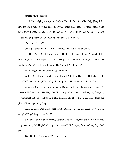«maHejchu'ta', qar'a'?»

«wej. Huch wIghaj 'a wIqoplu' 'e' wIjunnIS» jatlh DenIS. wuSDu'Daj jojDaq tlhIch naQ lan ghIq meQ. por pur ghIq merIyvaD tlhIch naQ nob. 'oH tlhap ghaH, pagh jatlhtaHvIS. buSHachmeyDaj paQtaH. qechmeyDaj luS yabDaj 'e' yaj DenIS vaj tamtaH 'ej SujQo'. ghIq buSHach qellI'bogh ngu'laH pay' 'e' tlhoj ghaH.

«'a bIyonbe', qar'a'?»

qar 'e' ghaSmeH nachDaj tlhIn tav merIy. «not» jatlh. monqu'choH.

tochDaj lo'taHvIS, nIH mInDaj yach DenIS. tlhIch naQ tlhapqa' 'ej pe'vIl tlhIch purqa'. nguy. raS SumDaq ba' be', puqloDDaj je 'e' tu'. wejmaH ben boghpu' SoS 'ej loS ben boghpu' puq 'e' noH DenIS. puqloDDaj SopmoH 'e' nIDqu' be'.

«naH tlhagh neHbe'!» jatlh puq, jachtaHvIS.

jatlh SoS «yISop, puqwI'! nom bISopnIS! tugh yaHwIj vIjaHnISchoH ghIq qaStaHvIS pem Hoch nIjIH vavnI'oy, SoSnI'oy je. chaH Datlhej 'e' DatIv qar'a'?»

«ghobe'!» SopQo' loDHom. tagha' nujDaj poSmoHmeH ghapqa'Daj 'eS 'uch SoS. 'a noSmoHta' neH. pe'vIlHa' Hagh DenIS. wa' tup qubbID merIy, qechmeyDaj Qob je lIj 'e' luqaSmoH SoS, puqloDDaj je. 'a ghIq nargh merIy ghop. tlhIch naQ nIH. tlhIch pur ghIq pa' bebDaq qabDaj Qeq.

*veqlargh ghaH* Qub DenIS, qeHtaHvIS. *nItebHa' maSeng 'ej maHeS reH 'e' qap 'ej not gher'ID qel. SengHa' not 'e' nID.* 

ben law' DenIS ngelpu' merIy, SengwI' ghaHmo'. poymar ghaH. yIn wanI'mey tIvqu'mo', rut pe'vIl HaghchoH veqlarghna' rurtaHvIS. 'ej qabqu'mo' qechmeyDaj, QaQ bIH.

DaH DenISvaD way'ar neH 'oS merIy. Qob.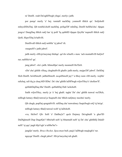ra' DenIS. «nab Da'oghlI'bogh yIngu', merIy» jatlh.

por purqa' merIy 'e' bej. tomtaH nachDaj. yonmoH tlhIch qu'. SoQchoH mInyoDDu'Daj. QIt tomHa'choH nachDaj. poSqa'DI' mInDaj, DenIS buSHa'chu'. tIpqan jengva' DungDaq tlhIch naQ lan 'ej poH 'Iq qubbID tIpqan QeyHa' teqmeH tlhIch naQ QoH, SIqwI'Daj lo'taHvIS.

DenISvaD tlhIch naQ nobHa' 'ej jabwI' rIt.

«nuqneH?» jatlh jabwI'.

jatlh merIy «HIvje'meymaj tItebqa'. qa'vIn wIneH.» mon. 'ach montaHvIS buQwI' rur; naHHa'wI' qa'.

jang jabwI'. «lu'» jatlh. bItmoHpu' merIy monmeH Ho'DoS.

«De' chu' ghItlh vISuq, cheghtaHvIS ghaH» jatlh merIy, mejpu'DI' jabwI'. DeSDaj SIch DenIS. ba'nISmoH. jatlhnISmoH. *meq*nISmoH jay'! 'a tlhoy nom vIH merIy. wejHa' raSchaj, raS tIq je chuq bID lIDta'. De' chu' ghItlh laDlI'bogh wIjwI'Hey'e' chollaw'lI'.

quSlabDajDaq tlhe' DenIS. quSlabDaj Dub 'uchchoH.

Sutlh wIjwI'Hey, merIy je 'e' bej ghaH. tagha' De' chu' ghItlh tenwal wa'DIch, mIllogh lutmey tlhaQ tenwal je SuqmeH cha' tlhIch naQmey mechta' merIy.

QIt chegh, popDaj qengtaHvIS. raSDaq cha' tenwalmey Suqta'bogh roQ 'ej ba'qa'. mIllogh lutmey tlhaQ tenwal woH 'ej laDchoH.

«va, HeSwI' QIv SoH 'e' Datlhoj'a'? qech Dojmey Da'oghtaH 'a gher'ID DaDIghmeH Dup DaqelQo'! bIba'taH neH 'ej bItamtaH neH 'ej De' chu' ghItlhlIj DalaD neH! 'ej qay' pagh bIja''egh 'a teHbe'ba'!»

jangQo' merIy. *Bruce Rocket, Spaceman* buS; paq'a' laDbogh maqlegh'e' rur. nguyqa' DenIS. chegh jabwI'. HIvje'meychaj teb ghaH.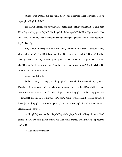«tlho'» jatlh DenIS. mu' rap jatlh merIy 'ach DachtaH. DaH Garfield, Odie je bopbogh mIllogh lut laDlI'.

qaStaHvIS lupmey puS qa'vIn buStaH neH DenIS. 'oHvo' 'oqHa'taH SeS. ghIq nom HIvje'Daj woH 'ej qa'vInDaj bID tlhutlh; pe'vIl bI'chu'. qa'vInDaj nIHmeH paw vay' 'e' Har ghaH tlhoS 'e' Har vay', wanI'vam leghpu'chugh. chayqa'Daj meQ qa'vIn tuj tlhutlhpu'bogh. logh'obDaj qIp.

«'eQ SenglIj'e' Da'agh» jatlh merIy. tlhaQ wanI'vam 'e' Harlaw'. «bIlugh: ta'mey vIturbogh vIqelqu'be'. vabDot jIvangpa', jImeqQo'. jIvang neH. 'ach jISuDrup. Qob vIlaj. chaq gher'ID qab vISIQ 'e' vIlaj. jIjaq, jIHeSDI' pagh loD vI- …» jatlh pay' 'e' mev. gheDDaj nuDqu'lI'bogh rur. tagha' jatlhqa': «… pagh porghlIjvo' SutlIj vIvIrghDI' bI'IHqu'mo'.» wuSDaj 'eS chop.

joqqu' DenIS tIq. tu.

jatlhqa' merIy: «SenglIj'e': tlhoy gher'ID Daqel. bImeqtaHvIS 'ej gher'ID DaqeltaHvIS, wuq jaqwI'pu', vawwI'pu' je—ghantoH: jIH—ghIq nIDev chaH 'e' Dalaj neH; qovIj matlh Darur. SabDI' Hoch, latlhpu' DapIch. jIngoy'Ha' choja'.» pay' punchoH 'ej tamchoH ghoghDaj. Qoychu'meH loQ roDaj tlhIn lavmoH DenIS. «chaq bIlugh. 'a jIwIv jIH'e'. jIngoy'Ha' 'e' vIwIv. qar'a'? jISuD 'e' vIwIv jay'. SoH'e', nIDev latlhpu'. bIHoSghajHa'. qavup.»

mu'tlheghDaj van merIy. tlhepQe'Daj tlhIn ghup DenIS. mIllogh lutmey tlhaQ qImqa' merIy. De' chu' ghItlh tenwal wa'DIch woH DenIS. wolHa'moHta' 'ej raSDaq beQmoHta'.

'oHDaq mu'meyvam laD: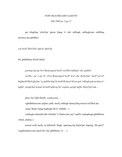## *FORT BEAUREGARD GAZETTE*

## *DIS 1989 jar 2 jaj 15*

per bIngDaq 'oSwI'pu' ghom Qang 'e' cha' mIllogh. mIlloghvam retlhDaq mu'meyvam ghItlhlu':

*wej beylI' HejwI'pu' ngu'ta' ghan'Iq*

De' ghItlhHom bI'reS laDta':

*parmaq lop jaj Fort Beauregard beylI' wa'DIch luHejta' cha' qabDu': wa'Hu'—jar 2 jaj 14—Fort Beauregard beylI' lu'el cha' HeSwI'pu'. beylI' toy'wI' buQmeH HIch Qachta' 'ej qabDu'chaj So'meH Richard Nixon qab 'oSbogh qab jechmey'e' tuQta'. porghchaj tu'qom So'meH qImroq bIr wepmey qargh tuQta' HejwI'pu'vam …*

*ghuy'cha'* Qub DenIS. *wepmeymaj …*

«ghItlhHomvam yIqIm» jatlh. merIy mIllogh lutmeyDaq tenwal wa'DIch lan.

«nuq? Bush? Qang bopbogh De''e' vISaHb—»

«yItbogh nobmeDvetlh vIrIchbe' 'e' DaSovchu' jay'! maH'e' nubopbogh ghItlhHom vIrIch, chaboy.»

tenwal woH merIy 'ej laDchoH. Hagh. «parmaq lop HejwI'pu' nupong. 'IH qar'a'? vengHommeyvam mach De' chu' ghItlhmey vI- …»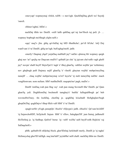«mevyap! wepmeymaj vIrIch, toDS—» mev'egh. QuchDajDaq ghoS wa' SuynIj 'onroS.

«bImev'eghta', bIDo'.»

nachDaj tlhIn tav DenIS. «reH latlh qabDaq qul tuj law'Hoch tuj puS. jI- … wepmey bopbogh mu'tlhegh yIqIm neH.»

«qay' nuq?» jIm. ghIq qa'vInDaj tuj bID tlhutlhchu'; pe'vIl bI'chu'. loQ Doj wanI'vam 'e' tu' DenIS. ghIq tav'egh. buS'eghqa'moH. jatlh:

«merIy! Daqmaj yIqel! jorjaDaq maHtaH jay'! naDev qImroq bIr wepmey qargh ghaj nuv 'ar? qerjIq rur Daqvam muD'e'! qaStaH jar cha' 'ej jajvam cha'vatlh vagh gheH jay'! novpu' chaH beylI' HejwI'pu''e' tugh 'e' tlhoj ghan'Iq. vabDot wejHa' per 'echletmey nov ghajbogh puH Dujmey nejlI' ghan'Iq 'e' vInoH. ghaytan wejHa' mebpa'meyDaq nunejlI' … chaq wejHa' mebpa'meymaj vu'wI' luyu'ta' 'ej meb tameyDaj nuDta'. mach vengHomvam. nom nuSam. SIbI' matlheDnIS. nuqopta'mo' pagh, maDo'.»

DenIS 'emDaq wab pun lIng vay'. wab pun mung SovmeH tlhe' DenIS. pa' Qam ghan'Iq yaS. DeghHomDaj bochmoH tamghay'e' butHa' lulIngtaHbogh pa' beb wovmoHwI'mey. tIn lochDaj, chorDaj je. qoghDaj lu'uchtaH HoSghajlaw'bogh ghopDu'Daj. qoghDajvo' tlhep HIch vaH SIbI' 'e' tu' DenIS.

«pagh torSIv yI'ogh; penepQo'. Hoch'e' vIQoypu'» jatlh. «Hoch'e'. Qe'vam bo'elDI' 'ej SujawchoHDI', Sa'IjchoH. Sujum SIbI' 'e' vISov, Saleghpu'DI'. jum Sutraj, jatlhmeH Ho'DoSraj je. 'ej Sutlhup; QuSwI' borur. 'ej—toH! wa'Hu' neH beylI'vetlh Hejlu'ta' vaj SaDaqchoH.»

pItlh. qaStaHvIS nIQchaj Hoch, gher'IDchaj lurIchtaH merIy, DenIS je 'ej tagha' HeSmeychaj gher'ID luDIgh. nuq luta'laH? jeylaHba' neH chaH. nachDaj tlhIn tav DenIS.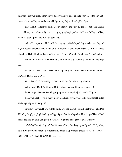jatlh'egh «ghuy', DenIS, Sengvamvo' bIHaw'laHbe'.» ghIq ghan'Iq yaSvaD jatlh: «lu', yaS, ma—» 'ach ghaH qagh merIy. nom Hu' parmqayDaj. quSlabDajDaq Qam.

tlhe' DenIS. HIchDaj tlhIn QIqta' merIy. ghe'chu'pu'. jotHa'. naS. Ha'DIbaH rurchoH. vay' butHa' rur. taQ. rewve' chop 'ej ghughugh. poSqu'choH mInDu'Daj. yaSDaq HIchDaj bach. qIpta'. yaS QIDta'. pum yaS.

«chay'?!—» jatlhchoH DenIS. 'ach ngugh quSlabDajvo' Sup merIy. ghan'Iq yaS rIQvo' ngaQHa'moHwI'mey nIHta' ghIq DIlmeH yaH ghoSchoH. raSchaj, DIlmeH yaH je chuq lIDtaHvIS, Hoch juSbogh buQ. tagha' qa'vInchaj 'ey jabta'bogh jabwI'Daq QeqchoH.

«Huch 'aplo' DapoSmoHbe'chugh, vaj bIHegh jay'!» jatlh, jachtaHvIS. *veqlargh ghaH …*

lob jabwI'. Huch 'aplo' poSmoHpu' 'ej merIyvaD Hoch Huch ngaSbogh nobpu'. cha'vatlh Da'larmey lutu'lu'.

Huch Suqta'DI', DIlmeH yaH DoHchoH. QIt Qe' 'elmeH lojmIt chol.

«chotlhej'a', DenIS?» tlhob, nIQ SopwI'pu' yay'Daq HIchDaj QeqtaHvIS.

lupHom qubbID meq DenIS. ghIq: «ghobe'. not qatlhejqa', maw'wI' 'Igh.»

Seng yap DIgh 'e' wuq. maw' merIy 'ach lugh: wIvmeyDaj tlhIn turnISchoH. nIteb HeSmeyDaj gher'ID DIghnIS.

«nuch'a'! DaynguH DaHutlh!» jatlh, Qe' mejtaHvIS. lojmIt veghta'DI', chalDaq HIchDaj Qeq 'ej wejlogh bach. ghan'Iq yaS puH Duj lojmIt poSmoHmeH ngaQHa'moHwI' nIHta'bogh lo'ta'. ghIq yongta' 'ej SeDchoH. tugh tlha' cha' ghan'Iq puH Dujmey.

qa'vInDajDaq Qeq'eghqa' DenIS. 'oy'mo' bep Sumbogh ghan'Iq yaS rIQ 'ej tlhup latlh nIQ SopwI'pu' tlhoS 'e' buSHa'chu'. chach Duj rItmeH ghogh HablI' lo' jabwI'— «QIDta' HejwI'! chach Duj'e' DaH yIngeH!»